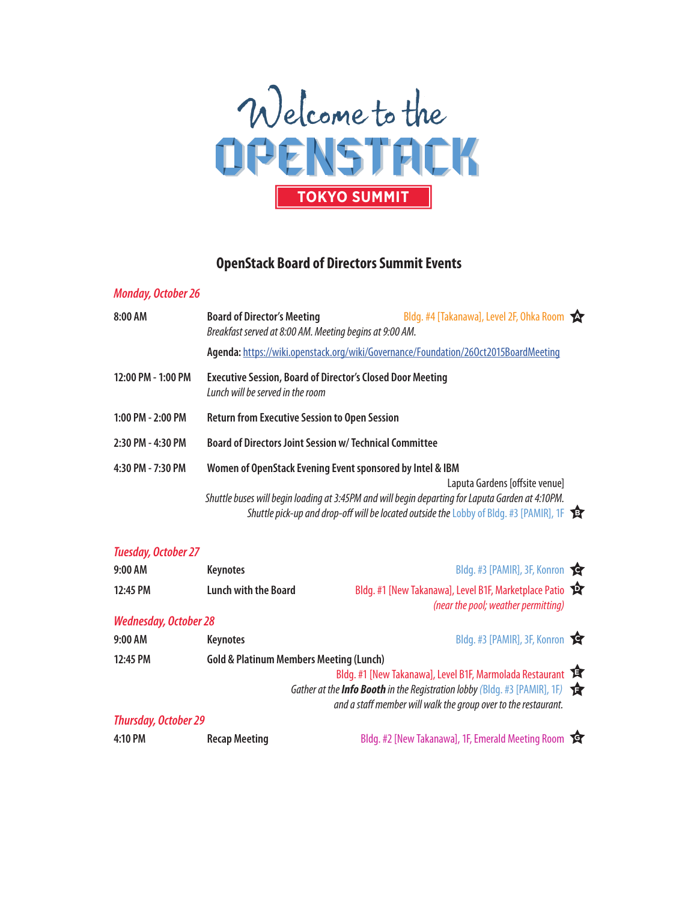

## **OpenStack Board of Directors Summit Events**

## **Monday, October 26** 8:00 AM **Board of Director's Meeting** Bldg. #4 [Takanawa], Level 2F, Ohka Room Breakfast served at 8:00 AM. Meeting begins at 9:00 AM. **Agenda:** https://wiki.openstack.org/wiki/Governance/Foundation/26Oct2015BoardMeeting **12:00 PM - 1:00 PM Executive Session, Board of Director's Closed Door Meeting** Lunch will be served in the room **1:00 PM - 2:00 PM Return from Executive Session to Open Session 2:30 PM - 4:30 PM Board of Directors Joint Session w/ Technical Committee 4:30 PM - 7:30 PM Women of OpenStack Evening Event sponsored by Intel & IBM** Laputa Gardens [offsite venue] Shuttle buses will begin loading at 3:45PM and will begin departing for Laputa Garden at 4:10PM. Shuttle pick-up and drop-off will be located outside theLobby of Bldg. #3 [PAMIR], 1F **B**

| <b>Tuesday, October 27</b>   |                                                    |                                                                                                                                                                 |  |
|------------------------------|----------------------------------------------------|-----------------------------------------------------------------------------------------------------------------------------------------------------------------|--|
| 9:00 AM                      | <b>Keynotes</b>                                    | Bldg. #3 [PAMIR], 3F, Konron                                                                                                                                    |  |
| 12:45 PM                     | <b>Lunch with the Board</b>                        | Bldg. #1 [New Takanawa], Level B1F, Marketplace Patio<br>(near the pool; weather permitting)                                                                    |  |
| <b>Wednesday, October 28</b> |                                                    |                                                                                                                                                                 |  |
| 9:00 AM                      | <b>Keynotes</b>                                    | Bldg. #3 [PAMIR], 3F, Konron                                                                                                                                    |  |
| 12:45 PM                     | <b>Gold &amp; Platinum Members Meeting (Lunch)</b> |                                                                                                                                                                 |  |
|                              |                                                    | Bldg. #1 [New Takanawa], Level B1F, Marmolada Restaurant<br>Gather at the <b>Info Booth</b> in the Registration lobby (Bldg. #3 [PAMIR], 1F) $\mathbf{\hat{F}}$ |  |
|                              |                                                    | and a staff member will walk the group over to the restaurant.                                                                                                  |  |
| <b>Thursday, October 29</b>  |                                                    |                                                                                                                                                                 |  |
| 4:10 PM                      | <b>Recap Meeting</b>                               | Bldg. #2 [New Takanawa], 1F, Emerald Meeting Room                                                                                                               |  |